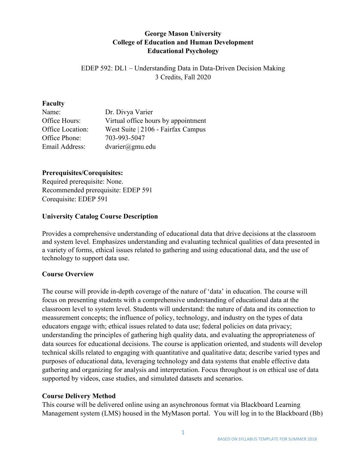## **George Mason University College of Education and Human Development Educational Psychology**

EDEP 592: DL1 – Understanding Data in Data-Driven Decision Making 3 Credits, Fall 2020

#### **Faculty**

| Name:            | Dr. Divya Varier                    |
|------------------|-------------------------------------|
| Office Hours:    | Virtual office hours by appointment |
| Office Location: | West Suite   2106 - Fairfax Campus  |
| Office Phone:    | 703-993-5047                        |
| Email Address:   | $dvarier(\partial gmu.edu)$         |

## **Prerequisites/Corequisites:**

Required prerequisite: None. Recommended prerequisite: EDEP 591 Corequisite: EDEP 591

### **University Catalog Course Description**

Provides a comprehensive understanding of educational data that drive decisions at the classroom and system level. Emphasizes understanding and evaluating technical qualities of data presented in a variety of forms, ethical issues related to gathering and using educational data, and the use of technology to support data use.

#### **Course Overview**

The course will provide in-depth coverage of the nature of 'data' in education. The course will focus on presenting students with a comprehensive understanding of educational data at the classroom level to system level. Students will understand: the nature of data and its connection to measurement concepts; the influence of policy, technology, and industry on the types of data educators engage with; ethical issues related to data use; federal policies on data privacy; understanding the principles of gathering high quality data, and evaluating the appropriateness of data sources for educational decisions. The course is application oriented, and students will develop technical skills related to engaging with quantitative and qualitative data; describe varied types and purposes of educational data, leveraging technology and data systems that enable effective data gathering and organizing for analysis and interpretation. Focus throughout is on ethical use of data supported by videos, case studies, and simulated datasets and scenarios.

#### **Course Delivery Method**

This course will be delivered online using an asynchronous format via Blackboard Learning Management system (LMS) housed in the MyMason portal. You will log in to the Blackboard (Bb)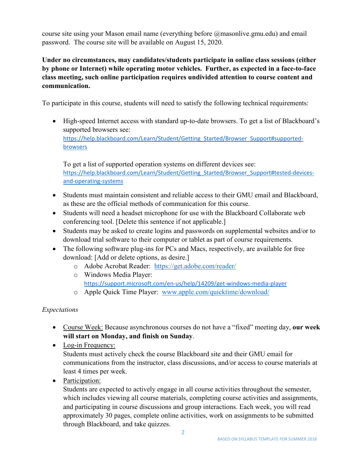course site using your Mason email name (everything before @masonlive.gmu.edu) and email password. The course site will be available on August 15, 2020.

## **Under no circumstances, may candidates/students participate in online class sessions (either by phone or Internet) while operating motor vehicles. Further, as expected in a face-to-face class meeting, such online participation requires undivided attention to course content and communication.**

To participate in this course, students will need to satisfy the following technical requirements:

• High-speed Internet access with standard up-to-date browsers. To get a list of Blackboard's supported browsers see: [https://help.blackboard.com/Learn/Student/Getting\\_Started/Browser\\_Support#supported](https://help.blackboard.com/Learn/Student/Getting_Started/Browser_Support#supported-browsers)[browsers](https://help.blackboard.com/Learn/Student/Getting_Started/Browser_Support#supported-browsers)

To get a list of supported operation systems on different devices see: [https://help.blackboard.com/Learn/Student/Getting\\_Started/Browser\\_Support#tested-devices](https://help.blackboard.com/Learn/Student/Getting_Started/Browser_Support#tested-devices-and-operating-systems)[and-operating-systems](https://help.blackboard.com/Learn/Student/Getting_Started/Browser_Support#tested-devices-and-operating-systems)

- Students must maintain consistent and reliable access to their GMU email and Blackboard, as these are the official methods of communication for this course.
- Students will need a headset microphone for use with the Blackboard Collaborate web conferencing tool. [Delete this sentence if not applicable.]
- Students may be asked to create logins and passwords on supplemental websites and/or to download trial software to their computer or tablet as part of course requirements.
- The following software plug-ins for PCs and Macs, respectively, are available for free download: [Add or delete options, as desire.]
	- o Adobe Acrobat Reader: <https://get.adobe.com/reader/>
	- o Windows Media Player: <https://support.microsoft.com/en-us/help/14209/get-windows-media-player>
	- o Apple Quick Time Player: [www.apple.com/quicktime/download/](http://www.apple.com/quicktime/download/)

## *Expectations*

- Course Week: Because asynchronous courses do not have a "fixed" meeting day, **our week will start on Monday, and finish on Sunday**.
- Log-in Frequency: Students must actively check the course Blackboard site and their GMU email for communications from the instructor, class discussions, and/or access to course materials at least 4 times per week.
- Participation:

Students are expected to actively engage in all course activities throughout the semester, which includes viewing all course materials, completing course activities and assignments, and participating in course discussions and group interactions. Each week, you will read approximately 30 pages, complete online activities, work on assignments to be submitted through Blackboard, and take quizzes.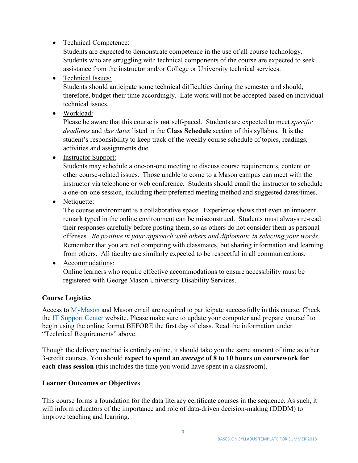• Technical Competence:

Students are expected to demonstrate competence in the use of all course technology. Students who are struggling with technical components of the course are expected to seek assistance from the instructor and/or College or University technical services.

• Technical Issues:

Students should anticipate some technical difficulties during the semester and should, therefore, budget their time accordingly. Late work will not be accepted based on individual technical issues.

• Workload:

Please be aware that this course is **not** self-paced. Students are expected to meet *specific deadlines* and *due dates* listed in the **Class Schedule** section of this syllabus. It is the student's responsibility to keep track of the weekly course schedule of topics, readings, activities and assignments due.

• Instructor Support:

Students may schedule a one-on-one meeting to discuss course requirements, content or other course-related issues. Those unable to come to a Mason campus can meet with the instructor via telephone or web conference. Students should email the instructor to schedule a one-on-one session, including their preferred meeting method and suggested dates/times.

• Netiquette:

The course environment is a collaborative space. Experience shows that even an innocent remark typed in the online environment can be misconstrued. Students must always re-read their responses carefully before posting them, so as others do not consider them as personal offenses. *Be positive in your approach with others and diplomatic in selecting your words*. Remember that you are not competing with classmates, but sharing information and learning from others. All faculty are similarly expected to be respectful in all communications.

• Accommodations:

Online learners who require effective accommodations to ensure accessibility must be registered with George Mason University Disability Services.

## **Course Logistics**

Access to [MyMason](http://mymason.gmu.edu/) and Mason email are required to participate successfully in this course. Check the [IT Support Center](http://itservices.gmu.edu/) website. Please make sure to update your computer and prepare yourself to begin using the online format BEFORE the first day of class. Read the information under "Technical Requirements" above.

Though the delivery method is entirely online, it should take you the same amount of time as other 3-credit courses. You should **expect to spend an** *average* **of 8 to 10 hours on coursework for each class session** (this includes the time you would have spent in a classroom).

## **Learner Outcomes or Objectives**

This course forms a foundation for the data literacy certificate courses in the sequence. As such, it will inform educators of the importance and role of data-driven decision-making (DDDM) to improve teaching and learning.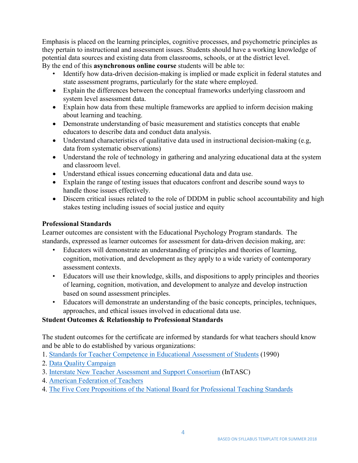Emphasis is placed on the learning principles, cognitive processes, and psychometric principles as they pertain to instructional and assessment issues. Students should have a working knowledge of potential data sources and existing data from classrooms, schools, or at the district level. By the end of this **asynchronous online course** students will be able to:

- Identify how data-driven decision-making is implied or made explicit in federal statutes and state assessment programs, particularly for the state where employed.
- Explain the differences between the conceptual frameworks underlying classroom and system level assessment data.
- Explain how data from these multiple frameworks are applied to inform decision making about learning and teaching.
- Demonstrate understanding of basic measurement and statistics concepts that enable educators to describe data and conduct data analysis.
- Understand characteristics of qualitative data used in instructional decision-making (e.g, data from systematic observations)
- Understand the role of technology in gathering and analyzing educational data at the system and classroom level.
- Understand ethical issues concerning educational data and data use.
- Explain the range of testing issues that educators confront and describe sound ways to handle those issues effectively.
- Discern critical issues related to the role of DDDM in public school accountability and high stakes testing including issues of social justice and equity

## **Professional Standards**

Learner outcomes are consistent with the Educational Psychology Program standards. The standards, expressed as learner outcomes for assessment for data-driven decision making, are:

- Educators will demonstrate an understanding of principles and theories of learning, cognition, motivation, and development as they apply to a wide variety of contemporary assessment contexts.
- Educators will use their knowledge, skills, and dispositions to apply principles and theories of learning, cognition, motivation, and development to analyze and develop instruction based on sound assessment principles.
- Educators will demonstrate an understanding of the basic concepts, principles, techniques, approaches, and ethical issues involved in educational data use.

## **Student Outcomes & Relationship to Professional Standards**

The student outcomes for the certificate are informed by standards for what teachers should know and be able to do established by various organizations:

- 1. [Standards for Teacher Competence in Educational Assessment of Students](https://buros.org/standards-teacher-competence-educational-assessment-students) (1990)
- 2. [Data Quality Campaign](https://dataqualitycampaign.org/)
- 3. [Interstate New Teacher Assessment and Support Consortium](http://programs.ccsso.org/projects/interstate_new_teacher_assessment_and_support_consortium/) (InTASC)
- 4. [American Federation of Teachers](https://www.aft.org/)
- 4. [The Five Core Propositions of the National Board for Professional Teaching Standards](https://www.nbpts.org/standards-five-core-propositions/)

4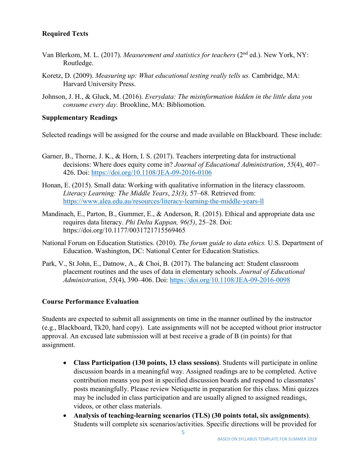## **Required Texts**

- Van Blerkom, M. L. (2017). *Measurement and statistics for teachers* (2<sup>nd</sup> ed.). New York, NY: Routledge.
- Koretz, D. (2009). *Measuring up: What educational testing really tells us.* Cambridge, MA: Harvard University Press.
- Johnson, J. H., & Gluck, M. (2016). *Everydata: The misinformation hidden in the little data you consume every day.* Brookline, MA: Bibliomotion.

#### **Supplementary Readings**

Selected readings will be assigned for the course and made available on Blackboard. These include:

- Garner, B., Thorne, J. K., & Horn, I. S. (2017). Teachers interpreting data for instructional decisions: Where does equity come in? *Journal of Educational Administration*, *55*(4), 407– 426. Doi:<https://doi.org/10.1108/JEA-09-2016-0106>
- Honan, E. (2015). Small data: Working with qualitative information in the literacy classroom. *Literacy Learning: The Middle Years*, *23(3),* 57–68. Retrieved from: <https://www.alea.edu.au/resources/literacy-learning-the-middle-years-ll>
- Mandinach, E., Parton, B., Gummer, E., & Anderson, R. (2015). Ethical and appropriate data use requires data literacy. *Phi Delta Kappan, 96(5)*, 25–28. Doi: https://doi.org/10.1177/0031721715569465
- National Forum on Education Statistics. (2010). *The forum guide to data ethics.* U.S. Department of Education. Washington, DC: National Center for Education Statistics.
- Park, V., St John, E., Datnow, A., & Choi, B. (2017). The balancing act: Student classroom placement routines and the uses of data in elementary schools. *Journal of Educational Administration*, *55*(4), 390–406. Doi:<https://doi.org/10.1108/JEA-09-2016-0098>

#### **Course Performance Evaluation**

Students are expected to submit all assignments on time in the manner outlined by the instructor (e.g., Blackboard, Tk20, hard copy). Late assignments will not be accepted without prior instructor approval. An excused late submission will at best receive a grade of B (in points) for that assignment.

- **Class Participation (130 points, 13 class sessions)**. Students will participate in online discussion boards in a meaningful way. Assigned readings are to be completed. Active contribution means you post in specified discussion boards and respond to classmates' posts meaningfully. Please review Netiquette in preparation for this class. Mini quizzes may be included in class participation and are usually aligned to assigned readings, videos, or other class materials.
- **Analysis of teaching-learning scenarios (TLS) (30 points total, six assignments)**. Students will complete six scenarios/activities. Specific directions will be provided for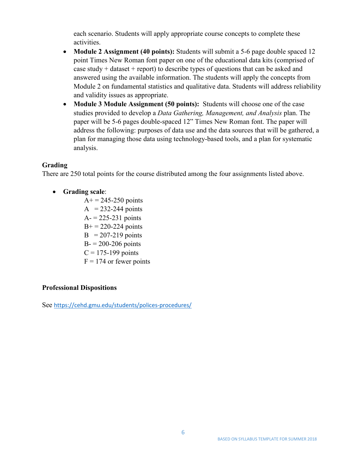each scenario. Students will apply appropriate course concepts to complete these activities.

- **Module 2 Assignment (40 points):** Students will submit a 5-6 page double spaced 12 point Times New Roman font paper on one of the educational data kits (comprised of case study  $+$  dataset  $+$  report) to describe types of questions that can be asked and answered using the available information. The students will apply the concepts from Module 2 on fundamental statistics and qualitative data. Students will address reliability and validity issues as appropriate.
- **Module 3 Module Assignment (50 points):** Students will choose one of the case studies provided to develop a *Data Gathering, Management, and Analysis* plan. The paper will be 5-6 pages double-spaced 12" Times New Roman font. The paper will address the following: purposes of data use and the data sources that will be gathered, a plan for managing those data using technology-based tools, and a plan for systematic analysis.

### **Grading**

There are 250 total points for the course distributed among the four assignments listed above.

### • **Grading scale**:

 $A+ = 245 - 250$  points  $A = 232-244$  points  $A = 225 - 231$  points  $B<sup>+</sup> = 220-224$  points  $B = 207-219$  points  $B = 200 - 206$  points  $C = 175-199$  points  $F = 174$  or fewer points

## **Professional Dispositions**

See <https://cehd.gmu.edu/students/polices-procedures/>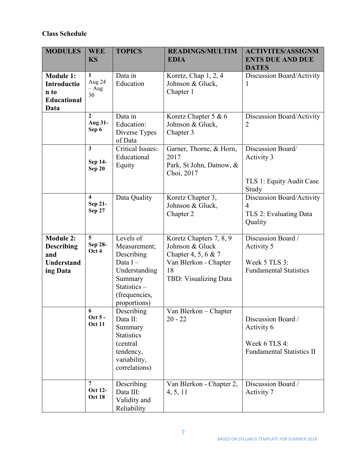## **Class Schedule**

| <b>MODULES</b>                                                                | <b>WEE</b><br><b>KS</b>                             | <b>TOPICS</b>                                                                                                                     | <b>READINGS/MULTIM</b><br><b>EDIA</b>                                                                                     | <b>ACTIVITES/ASSIGNM</b><br><b>ENTS DUE AND DUE</b><br><b>DATES</b>                   |
|-------------------------------------------------------------------------------|-----------------------------------------------------|-----------------------------------------------------------------------------------------------------------------------------------|---------------------------------------------------------------------------------------------------------------------------|---------------------------------------------------------------------------------------|
| <b>Module 1:</b><br>Introductio<br>n to<br><b>Educational</b><br>Data         | 1<br>Aug 24<br>$- Aug$<br>30                        | Data in<br>Education                                                                                                              | Koretz, Chap 1, 2, 4<br>Johnson & Gluck,<br>Chapter 1                                                                     | Discussion Board/Activity<br>1                                                        |
|                                                                               | $\mathbf{2}$<br>Aug 31-<br>Sep 6                    | Data in<br>Education:<br>Diverse Types<br>of Data                                                                                 | Koretz Chapter 5 & 6<br>Johnson & Gluck,<br>Chapter 3                                                                     | Discussion Board/Activity<br>$\overline{2}$                                           |
|                                                                               | $\overline{3}$<br>Sep 14-<br><b>Sep 20</b>          | <b>Critical Issues:</b><br>Educational<br>Equity                                                                                  | Garner, Thorne, & Horn,<br>2017<br>Park, St John, Datnow, &<br>Choi, 2017                                                 | Discussion Board/<br>Activity 3<br>TLS 1: Equity Audit Case<br>Study                  |
|                                                                               | $\overline{\mathbf{4}}$<br>Sep 21-<br><b>Sep 27</b> | Data Quality                                                                                                                      | Koretz Chapter 3,<br>Johnson & Gluck,<br>Chapter 2                                                                        | Discussion Board/Activity<br>$\overline{4}$<br>TLS 2: Evaluating Data<br>Quality      |
| <b>Module 2:</b><br><b>Describing</b><br>and<br><b>Understand</b><br>ing Data | 5<br>Sep 28-<br>Oct 4                               | Levels of<br>Measurement;<br>Describing<br>Data $I -$<br>Understanding<br>Summary<br>Statistics-<br>(frequencies,<br>proportions) | Koretz Chapters 7, 8, 9<br>Johnson & Gluck<br>Chapter 4, 5, 6 & 7<br>Van Blerkon - Chapter<br>18<br>TBD: Visualizing Data | Discussion Board /<br>Activity 5<br>Week 5 TLS 3:<br><b>Fundamental Statistics</b>    |
|                                                                               | 6<br>Oct 5 -<br><b>Oct 11</b>                       | Describing<br>Data II:<br>Summary<br><b>Statistics</b><br>(central)<br>tendency,<br>variability,<br>correlations)                 | $\overline{\text{Van Blerkon}} - \text{Chapter}$<br>$20 - 22$                                                             | Discussion Board /<br>Activity 6<br>Week 6 TLS 4:<br><b>Fundamental Statistics II</b> |
|                                                                               | $\overline{7}$<br>Oct 12-<br><b>Oct 18</b>          | Describing<br>Data III:<br>Validity and<br>Reliability                                                                            | Van Blerkon - Chapter 2,<br>4, 5, 11                                                                                      | Discussion Board /<br>Activity 7                                                      |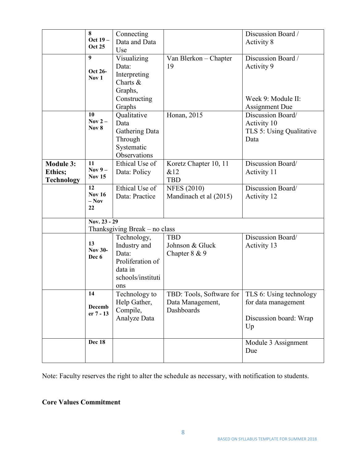|                                                         | 8<br>Oct 19 -<br><b>Oct 25</b>                | Connecting<br>Data and Data<br>Use                                                              |                                                            | Discussion Board /<br>Activity 8                                               |
|---------------------------------------------------------|-----------------------------------------------|-------------------------------------------------------------------------------------------------|------------------------------------------------------------|--------------------------------------------------------------------------------|
|                                                         | 9<br>Oct 26-<br>Nov 1                         | Visualizing<br>Data:<br>Interpreting<br>Charts $&$<br>Graphs,<br>Constructing<br>Graphs         | Van Blerkon – Chapter<br>19                                | Discussion Board /<br>Activity 9<br>Week 9: Module II:<br>Assignment Due       |
|                                                         | 10<br>Nov $2-$<br>Nov 8                       | Qualitative<br>Data<br>Gathering Data<br>Through<br>Systematic<br>Observations                  | Honan, 2015                                                | Discussion Board/<br>Activity 10<br>TLS 5: Using Qualitative<br>Data           |
| <b>Module 3:</b><br><b>Ethics;</b><br><b>Technology</b> | 11<br>Nov $9-$<br><b>Nov 15</b>               | Ethical Use of<br>Data: Policy                                                                  | Koretz Chapter 10, 11<br>&12<br><b>TBD</b>                 | Discussion Board/<br>Activity 11                                               |
|                                                         | 12<br><b>Nov 16</b><br>$-$ Nov<br>22          | Ethical Use of<br>Data: Practice                                                                | <b>NFES (2010)</b><br>Mandinach et al (2015)               | Discussion Board/<br>Activity 12                                               |
|                                                         | Nov. 23 - 29<br>Thanksgiving Break – no class |                                                                                                 |                                                            |                                                                                |
|                                                         | 13<br><b>Nov 30-</b><br>Dec 6                 | Technology,<br>Industry and<br>Data:<br>Proliferation of<br>data in<br>schools/instituti<br>ons | <b>TBD</b><br>Johnson & Gluck<br>Chapter $8 & 9$           | Discussion Board/<br>Activity 13                                               |
|                                                         | 14<br>Decemb<br>er 7 - 13                     | Technology to<br>Help Gather,<br>Compile,<br>Analyze Data                                       | TBD: Tools, Software for<br>Data Management,<br>Dashboards | TLS 6: Using technology<br>for data management<br>Discussion board: Wrap<br>Up |
|                                                         | <b>Dec 18</b>                                 |                                                                                                 |                                                            | Module 3 Assignment<br>Due                                                     |

Note: Faculty reserves the right to alter the schedule as necessary, with notification to students.

## **Core Values Commitment**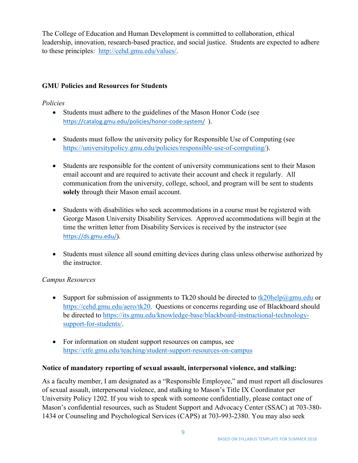The College of Education and Human Development is committed to collaboration, ethical leadership, innovation, research-based practice, and social justice. Students are expected to adhere to these principles: [http://cehd.gmu.edu/values/.](http://cehd.gmu.edu/values/)

## **GMU Policies and Resources for Students**

## *Policies*

- Students must adhere to the guidelines of the Mason Honor Code (see <https://catalog.gmu.edu/policies/honor-code-system/>).
- Students must follow the university policy for Responsible Use of Computing (see [https://universitypolicy.gmu.edu/policies/responsible-use-of-computing/\)](https://universitypolicy.gmu.edu/policies/responsible-use-of-computing/).
- Students are responsible for the content of university communications sent to their Mason email account and are required to activate their account and check it regularly. All communication from the university, college, school, and program will be sent to students **solely** through their Mason email account.
- Students with disabilities who seek accommodations in a course must be registered with George Mason University Disability Services. Approved accommodations will begin at the time the written letter from Disability Services is received by the instructor (see <https://ds.gmu.edu/>).
- Students must silence all sound emitting devices during class unless otherwise authorized by the instructor.

## *Campus Resources*

- Support for submission of assignments to Tk20 should be directed to  $tk20$ help $@gmu$ .edu or [https://cehd.gmu.edu/aero/tk20.](https://cehd.gmu.edu/aero/tk20) Questions or concerns regarding use of Blackboard should be directed to [https://its.gmu.edu/knowledge-base/blackboard-instructional-technology](https://its.gmu.edu/knowledge-base/blackboard-instructional-technology-support-for-students/)[support-for-students/.](https://its.gmu.edu/knowledge-base/blackboard-instructional-technology-support-for-students/)
- For information on student support resources on campus, see <https://ctfe.gmu.edu/teaching/student-support-resources-on-campus>

#### **Notice of mandatory reporting of sexual assault, interpersonal violence, and stalking:**

As a faculty member, I am designated as a "Responsible Employee," and must report all disclosures of sexual assault, interpersonal violence, and stalking to Mason's Title IX Coordinator per University Policy 1202. If you wish to speak with someone confidentially, please contact one of Mason's confidential resources, such as Student Support and Advocacy Center (SSAC) at 703-380- 1434 or Counseling and Psychological Services (CAPS) at 703-993-2380. You may also seek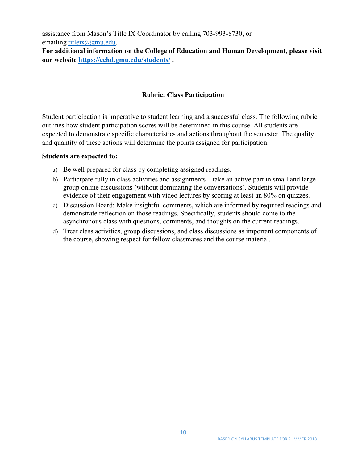assistance from Mason's Title IX Coordinator by calling 703-993-8730, or emailing [titleix@gmu.edu.](mailto:titleix@gmu.edu)

**For additional information on the College of Education and Human Development, please visit our website<https://cehd.gmu.edu/students/> .**

## **Rubric: Class Participation**

Student participation is imperative to student learning and a successful class. The following rubric outlines how student participation scores will be determined in this course. All students are expected to demonstrate specific characteristics and actions throughout the semester. The quality and quantity of these actions will determine the points assigned for participation.

#### **Students are expected to:**

- a) Be well prepared for class by completing assigned readings.
- b) Participate fully in class activities and assignments take an active part in small and large group online discussions (without dominating the conversations). Students will provide evidence of their engagement with video lectures by scoring at least an 80% on quizzes.
- c) Discussion Board: Make insightful comments, which are informed by required readings and demonstrate reflection on those readings. Specifically, students should come to the asynchronous class with questions, comments, and thoughts on the current readings.
- d) Treat class activities, group discussions, and class discussions as important components of the course, showing respect for fellow classmates and the course material.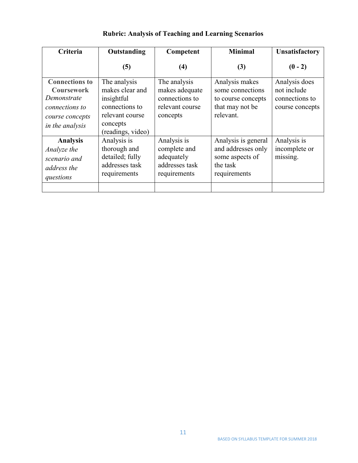| Criteria                                                                                                          | Outstanding                                                                                                         | Competent                                                                       | <b>Minimal</b>                                                                           | <b>Unsatisfactory</b>                                             |
|-------------------------------------------------------------------------------------------------------------------|---------------------------------------------------------------------------------------------------------------------|---------------------------------------------------------------------------------|------------------------------------------------------------------------------------------|-------------------------------------------------------------------|
|                                                                                                                   | (5)                                                                                                                 | (4)                                                                             | (3)                                                                                      | $(0 - 2)$                                                         |
| <b>Connections to</b><br><b>Coursework</b><br>Demonstrate<br>connections to<br>course concepts<br>in the analysis | The analysis<br>makes clear and<br>insightful<br>connections to<br>relevant course<br>concepts<br>(readings, video) | The analysis<br>makes adequate<br>connections to<br>relevant course<br>concepts | Analysis makes<br>some connections<br>to course concepts<br>that may not be<br>relevant. | Analysis does<br>not include<br>connections to<br>course concepts |
| <b>Analysis</b><br>Analyze the<br>scenario and<br>address the<br>questions                                        | Analysis is<br>thorough and<br>detailed; fully<br>addresses task<br>requirements                                    | Analysis is<br>complete and<br>adequately<br>addresses task<br>requirements     | Analysis is general<br>and addresses only<br>some aspects of<br>the task<br>requirements | Analysis is<br>incomplete or<br>missing.                          |

# **Rubric: Analysis of Teaching and Learning Scenarios**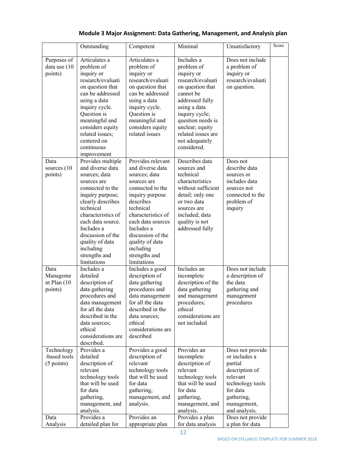|                                                    | Outstanding                                                                                                                                                                                                                                                                                   | Competent                                                                                                                                                                                                                                                                            | Minimal                                                                                                                                                                                                                                          | Unsatisfactory                                                                                                                                                               | Score |
|----------------------------------------------------|-----------------------------------------------------------------------------------------------------------------------------------------------------------------------------------------------------------------------------------------------------------------------------------------------|--------------------------------------------------------------------------------------------------------------------------------------------------------------------------------------------------------------------------------------------------------------------------------------|--------------------------------------------------------------------------------------------------------------------------------------------------------------------------------------------------------------------------------------------------|------------------------------------------------------------------------------------------------------------------------------------------------------------------------------|-------|
| Purposes of<br>data use (10<br>points)             | Articulates a<br>problem of<br>inquiry or<br>research/evaluati<br>on question that<br>can be addressed<br>using a data<br>inquiry cycle.<br>Question is<br>meaningful and<br>considers equity<br>related issues;<br>centered on<br>continuous<br>improvement                                  | Articulates a<br>problem of<br>inquiry or<br>research/evaluati<br>on question that<br>can be addressed<br>using a data<br>inquiry cycle.<br>Question is<br>meaningful and<br>considers equity<br>related issues                                                                      | Includes a<br>problem of<br>inquiry or<br>research/evaluati<br>on question that<br>cannot be<br>addressed fully<br>using a data<br>inquiry cycle;<br>question needs is<br>unclear; equity<br>related issues are<br>not adequately<br>considered. | Does not include<br>a problem of<br>inquiry or<br>research/evaluati<br>on question.                                                                                          |       |
| Data<br>sources (10<br>points)                     | Provides multiple<br>and diverse data<br>sources; data<br>sources are<br>connected to the<br>inquiry purpose;<br>clearly describes<br>technical<br>characteristics of<br>each data source.<br>Includes a<br>discussion of the<br>quality of data<br>including<br>strengths and<br>limitations | Provides relevant<br>and diverse data<br>sources; data<br>sources are<br>connected to the<br>inquiry purpose<br>describes<br>technical<br>characteristics of<br>each data sources<br>Includes a<br>discussion of the<br>quality of data<br>including<br>strengths and<br>limitations | Describes data<br>sources and<br>technical<br>characteristics<br>without sufficient<br>detail; only one<br>or two data<br>sources are<br>included; data<br>quality is not<br>addressed fully                                                     | Does not<br>describe data<br>sources or<br>includes data<br>sources not<br>connected to the<br>problem of<br>inquiry                                                         |       |
| Data<br>Manageme<br>nt Plan (10<br>points)         | Includes a<br>detailed<br>description of<br>data gathering<br>procedures and<br>data management<br>for all the data<br>described in the<br>data sources;<br>ethical<br>considerations are<br>described.                                                                                       | Includes a good<br>description of<br>data gathering<br>procedures and<br>data management<br>for all the data<br>described in the<br>data sources;<br>ethical<br>considerations are<br>described                                                                                      | Includes an<br>incomplete<br>description of the<br>data gathering<br>and management<br>procedures;<br>ethical<br>considerations are<br>not included                                                                                              | Does not include<br>a description of<br>the data<br>gathering and<br>management<br>procedures                                                                                |       |
| Technology<br>-based tools<br>$(5$ points)<br>Data | Provides a<br>detailed<br>description of<br>relevant<br>technology tools<br>that will be used<br>for data<br>gathering,<br>management, and<br>analysis.<br>Provides a                                                                                                                         | Provides a good<br>description of<br>relevant<br>technology tools<br>that will be used<br>for data<br>gathering,<br>management, and<br>analysis.<br>Provides an                                                                                                                      | Provides an<br>incomplete<br>description of<br>relevant<br>technology tools<br>that will be used<br>for data<br>gathering,<br>management, and<br>analysis.<br>Provides a plan                                                                    | Does not provide<br>or includes a<br>partial<br>description of<br>relevant<br>technology tools<br>for data<br>gathering,<br>management,<br>and analysis.<br>Does not provide |       |
| Analysis                                           | detailed plan for                                                                                                                                                                                                                                                                             | appropriate plan                                                                                                                                                                                                                                                                     | for data analysis                                                                                                                                                                                                                                | a plan for data                                                                                                                                                              |       |